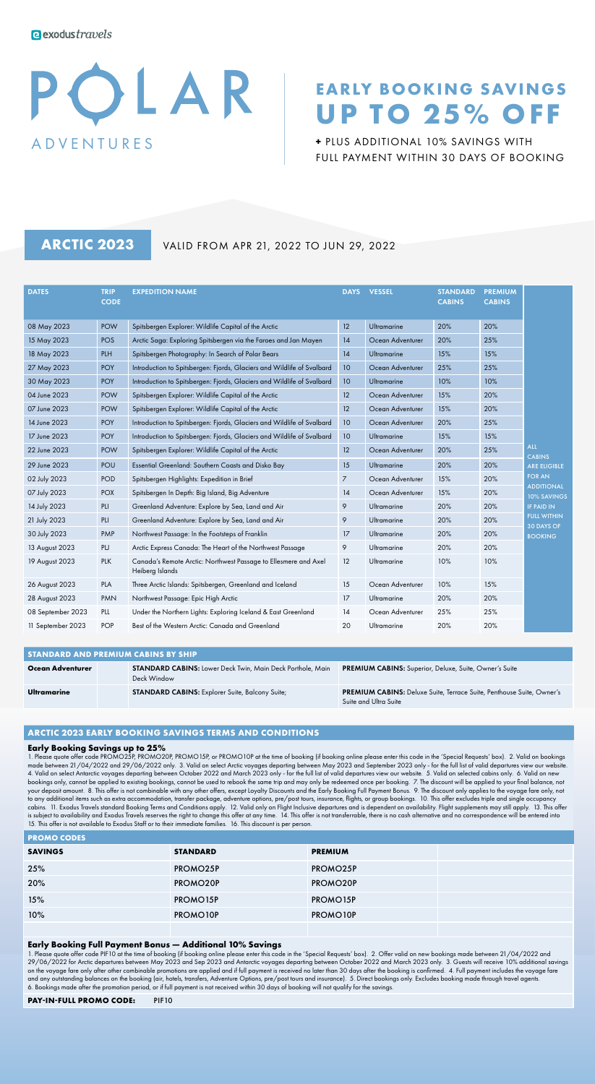# OLAR ADVENTURES

# **EARLY BOOKING SAVINGS UP TO 25% OFF**

**+** PLUS ADDITIONAL 10% SAVINGS WITH FULL PAYMENT WITHIN 30 DAYS OF BOOKING

**ARCTIC 2023** VALID FROM APR 21, 2022 TO JUN 29, 2022

| <b>DATES</b>      | <b>TRIP</b><br><b>CODE</b> | <b>EXPEDITION NAME</b>                                                             | <b>DAYS</b>    | <b>VESSEL</b>      | <b>STANDARD</b><br><b>CABINS</b> | <b>PREMIUM</b><br><b>CABINS</b> |                                         |
|-------------------|----------------------------|------------------------------------------------------------------------------------|----------------|--------------------|----------------------------------|---------------------------------|-----------------------------------------|
| 08 May 2023       | <b>POW</b>                 | Spitsbergen Explorer: Wildlife Capital of the Arctic                               | 12             | <b>Ultramarine</b> | 20%                              | 20%                             |                                         |
| 15 May 2023       | <b>POS</b>                 | Arctic Saga: Exploring Spitsbergen via the Faroes and Jan Mayen                    | 14             | Ocean Adventurer   | 20%                              | 25%                             |                                         |
| 18 May 2023       | <b>PLH</b>                 | Spitsbergen Photography: In Search of Polar Bears                                  | 14             | Ultramarine        | 15%                              | 15%                             |                                         |
| 27 May 2023       | <b>POY</b>                 | Introduction to Spitsbergen: Fjords, Glaciers and Wildlife of Svalbard             | 10             | Ocean Adventurer   | 25%                              | 25%                             |                                         |
| 30 May 2023       | <b>POY</b>                 | Introduction to Spitsbergen: Fjords, Glaciers and Wildlife of Svalbard             | 10             | <b>Ultramarine</b> | 10%                              | 10%                             |                                         |
| 04 June 2023      | <b>POW</b>                 | Spitsbergen Explorer: Wildlife Capital of the Arctic                               | 12             | Ocean Adventurer   | 15%                              | 20%                             |                                         |
| 07 June 2023      | <b>POW</b>                 | Spitsbergen Explorer: Wildlife Capital of the Arctic                               | 12             | Ocean Adventurer   | 15%                              | 20%                             |                                         |
| 14 June 2023      | <b>POY</b>                 | Introduction to Spitsbergen: Fjords, Glaciers and Wildlife of Svalbard             | 10             | Ocean Adventurer   | 20%                              | 25%                             |                                         |
| 17 June 2023      | <b>POY</b>                 | Introduction to Spitsbergen: Fjords, Glaciers and Wildlife of Svalbard             | 10             | Ultramarine        | 15%                              | 15%                             |                                         |
| 22 June 2023      | <b>POW</b>                 | Spitsbergen Explorer: Wildlife Capital of the Arctic                               | 12             | Ocean Adventurer   | 20%                              | 25%                             | <b>ALL</b><br><b>CABINS</b>             |
| 29 June 2023      | POU                        | Essential Greenland: Southern Coasts and Disko Bay                                 | 15             | Ultramarine        | 20%                              | 20%                             | <b>ARE ELIGIBLE</b>                     |
| 02 July 2023      | <b>POD</b>                 | Spitsbergen Highlights: Expedition in Brief                                        | $\overline{7}$ | Ocean Adventurer   | 15%                              | 20%                             | <b>FOR AN</b>                           |
| 07 July 2023      | <b>POX</b>                 | Spitsbergen In Depth: Big Island, Big Adventure                                    | 14             | Ocean Adventurer   | 15%                              | 20%                             | <b>ADDITIONAL</b><br><b>10% SAVINGS</b> |
| 14 July 2023      | PLI                        | Greenland Adventure: Explore by Sea, Land and Air                                  | 9              | Ultramarine        | 20%                              | 20%                             | <b>IF PAID IN</b>                       |
| 21 July 2023      | PLI                        | Greenland Adventure: Explore by Sea, Land and Air                                  | 9              | Ultramarine        | 20%                              | 20%                             | <b>FULL WITHIN</b><br><b>30 DAYS OF</b> |
| 30 July 2023      | PMP                        | Northwest Passage: In the Footsteps of Franklin                                    | 17             | Ultramarine        | 20%                              | 20%                             | <b>BOOKING</b>                          |
| 13 August 2023    | PU                         | Arctic Express Canada: The Heart of the Northwest Passage                          | 9              | Ultramarine        | 20%                              | 20%                             |                                         |
| 19 August 2023    | <b>PLK</b>                 | Canada's Remote Arctic: Northwest Passage to Ellesmere and Axel<br>Heiberg Islands | 12             | Ultramarine        | 10%                              | 10%                             |                                         |
| 26 August 2023    | PLA                        | Three Arctic Islands: Spitsbergen, Greenland and Iceland                           | 15             | Ocean Adventurer   | 10%                              | 15%                             |                                         |
| 28 August 2023    | <b>PMN</b>                 | Northwest Passage: Epic High Arctic                                                | 17             | Ultramarine        | 20%                              | 20%                             |                                         |
| 08 September 2023 | PLL                        | Under the Northern Lights: Exploring Iceland & East Greenland                      | 14             | Ocean Adventurer   | 25%                              | 25%                             |                                         |
| 11 September 2023 | <b>POP</b>                 | Best of the Western Arctic: Canada and Greenland                                   | 20             | Ultramarine        | 20%                              | 20%                             |                                         |

| <b>STANDARD AND PREMIUM CABINS BY SHIP</b> |  |                                                                                  |                                                                                                       |  |  |
|--------------------------------------------|--|----------------------------------------------------------------------------------|-------------------------------------------------------------------------------------------------------|--|--|
| Ocean Adventurer                           |  | <b>STANDARD CABINS:</b> Lower Deck Twin, Main Deck Porthole, Main<br>Deck Window | <b>PREMIUM CABINS:</b> Superior, Deluxe, Suite, Owner's Suite                                         |  |  |
| Ultramarine                                |  | <b>STANDARD CABINS:</b> Explorer Suite, Balcony Suite;                           | <b>PREMIUM CABINS:</b> Deluxe Suite, Terrace Suite, Penthouse Suite, Owner's<br>Suite and Ultra Suite |  |  |

# **ARCTIC 2023 EARLY BOOKING SAVINGS TERMS AND CONDITIONS**

# **Early Booking Savings up to 25%**

**PROMO CODES**

1. Please quote offer code PROMO25P, PROMO20P, PROMO15P, or PROMO10P at the time of booking (if booking online please enter this code in the 'Special Requests' box). 2. Valid on bookings made between 21/04/2022 and 29/06/2022 only. 3. Valid on select Arctic voyages departing between May 2023 and September 2023 only - for the full list of valid departures view our website. 4. Valid on select Antarctic voyages departing between October 2022 and March 2023 only - for the full list of valid departures view our website. 5. Valid on selected cabins only. 6. Valid on new bookings only, cannot be applied to existing bookings, cannot be used to rebook the same trip and may only be redeemed once per booking. 7. The discount will be applied to your final balance, not your deposit amount. 8. This offer is not combinable with any other offers, except Loyalty Discounts and the Early Booking Full Payment Bonus. 9. The discount only applies to the voyage fare only, not to any additional items such as extra accommodation, transfer package, adventure options, pre/post tours, insurance, flights, or group bookings. 10. This offer excludes triple and single occupancy cabins. 11. Exodus Travels standard Booking Terms and Conditions apply. 12. Valid only on Flight Inclusive departures and is dependent on availability. Flight supplements may still apply. 13. This offer is subject to availability and Exodus Travels reserves the right to change this offer at any time. 14. This offer is not transferrable, there is no cash alternative and no correspondence will be entered into 15. This offer is not available to Exodus Staff or to their immediate families. 16. This discount is per person.

| .              |                       |                |  |  |  |  |
|----------------|-----------------------|----------------|--|--|--|--|
| <b>SAVINGS</b> | <b>STANDARD</b>       | <b>PREMIUM</b> |  |  |  |  |
| 25%            | PROMO25P              | PROMO25P       |  |  |  |  |
| 20%            | PROMO20P              | PROMO20P       |  |  |  |  |
| 15%            | PROMO <sub>15</sub> P | PROMO15P       |  |  |  |  |
| 10%            | PROMO10P              | PROMO10P       |  |  |  |  |
|                |                       |                |  |  |  |  |

# **Early Booking Full Payment Bonus — Additional 10% Savings**

1. Please quote offer code PIF10 at the time of booking (if booking online please enter this code in the 'Special Requests' box). 2. Offer valid on new bookings made between 21/04/2022 and 29/06/2022 for Arctic departures between May 2023 and Sep 2023 and Antarctic voyages departing between October 2022 and March 2023 only. 3. Guests will receive 10% additional savings on the voyage fare only after other combinable promotions are applied and if full payment is received no later than 30 days after the booking is confirmed. 4. Full payment includes the voyage fare and any outstanding balances on the booking (air, hotels, transfers, Adventure Options, pre/post tours and insurance). 5. Direct bookings only. Excludes booking made through travel agents. 6. Bookings made after the promotion period, or if full payment is not received within 30 days of booking will not qualify for the savings.

```
PAY-IN-FULL PROMO CODE: PIF10
```